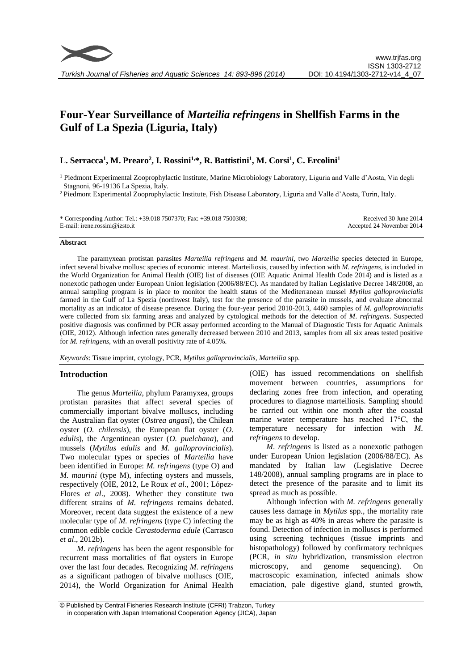# **Four-Year Surveillance of** *Marteilia refringens* **in Shellfish Farms in the Gulf of La Spezia (Liguria, Italy)**

# **L. Serracca<sup>1</sup> , M. Prearo<sup>2</sup> , I. Rossini1,\*, R. Battistini<sup>1</sup> , M. Corsi<sup>1</sup> , C. Ercolini<sup>1</sup>**

<sup>1</sup> Piedmont Experimental Zooprophylactic Institute, Marine Microbiology Laboratory, Liguria and Valle d'Aosta, Via degli Stagnoni, 96-19136 La Spezia, Italy.

<sup>2</sup> Piedmont Experimental Zooprophylactic Institute, Fish Disease Laboratory, Liguria and Valle d'Aosta, Turin, Italy.

\* Corresponding Author: Tel.: +39.018 7507370; Fax: +39.018 7500308; E-mail: irene.rossini@izsto.it

Received 30 June 2014 Accepted 24 November 2014

#### **Abstract**

The paramyxean protistan parasites *Marteilia refringens* and *M. maurini*, two *Marteilia* species detected in Europe, infect several bivalve mollusc species of economic interest. Marteiliosis, caused by infection with *M. refringens*, is included in the World Organization for Animal Health (OIE) list of diseases (OIE Aquatic Animal Health Code 2014) and is listed as a nonexotic pathogen under European Union legislation (2006/88/EC). As mandated by Italian Legislative Decree 148/2008, an annual sampling program is in place to monitor the health status of the Mediterranean mussel *Mytilus galloprovincialis* farmed in the Gulf of La Spezia (northwest Italy), test for the presence of the parasite in mussels, and evaluate abnormal mortality as an indicator of disease presence. During the four-year period 2010-2013, 4460 samples of *M. galloprovincialis*  were collected from six farming areas and analyzed by cytological methods for the detection of *M*. *refringens*. Suspected positive diagnosis was confirmed by PCR assay performed according to the Manual of Diagnostic Tests for Aquatic Animals (OIE, 2012). Although infection rates generally decreased between 2010 and 2013, samples from all six areas tested positive for *M. refringens*, with an overall positivity rate of 4.05%.

*Keywords*: Tissue imprint, cytology, PCR, *Mytilus galloprovincialis, Marteilia* spp.

### **Introduction**

The genus *Marteilia*, phylum Paramyxea, groups protistan parasites that affect several species of commercially important bivalve molluscs, including the Australian flat oyster (*Ostrea angasi*), the Chilean oyster (*O. chilensis*), the European flat oyster (*O. edulis*), the Argentinean oyster (*O. puelchana*), and mussels (*Mytilus edulis* and *M. galloprovincialis*). Two molecular types or species of *Marteilia* have been identified in Europe: *M. refringens* (type O) and *M. maurini* (type M), infecting oysters and mussels, respectively (OIE, 2012, Le Roux *et al*., 2001; López-Flores *et al*., 2008). Whether they constitute two different strains of *M. refringens* remains debated*.* Moreover, recent data suggest the existence of a new molecular type of *M. refringens* (type C) infecting the common edible cockle *Cerastoderma edule* (Carrasco *et al*., 2012b).

*M*. *refringens* has been the agent responsible for recurrent mass mortalities of flat oysters in Europe over the last four decades. Recognizing *M*. *refringens* as a significant pathogen of bivalve molluscs (OIE, 2014), the World Organization for Animal Health (OIE) has issued recommendations on shellfish movement between countries, assumptions for declaring zones free from infection, and operating procedures to diagnose marteiliosis. Sampling should be carried out within one month after the coastal marine water temperature has reached 17°C, the temperature necessary for infection with *M*. *refringens* to develop.

*M*. *refringens* is listed as a nonexotic pathogen under European Union legislation (2006/88/EC). As mandated by Italian law (Legislative Decree 148/2008), annual sampling programs are in place to detect the presence of the parasite and to limit its spread as much as possible.

Although infection with *M. refringens* generally causes less damage in *Mytilus* spp*.*, the mortality rate may be as high as 40% in areas where the parasite is found. Detection of infection in molluscs is performed using screening techniques (tissue imprints and histopathology) followed by confirmatory techniques (PCR, *in situ* hybridization, transmission electron microscopy, and genome sequencing). On macroscopic examination, infected animals show emaciation, pale digestive gland, stunted growth,

<sup>©</sup> Published by Central Fisheries Research Institute (CFRI) Trabzon, Turkey in cooperation with Japan International Cooperation Agency (JICA), Japan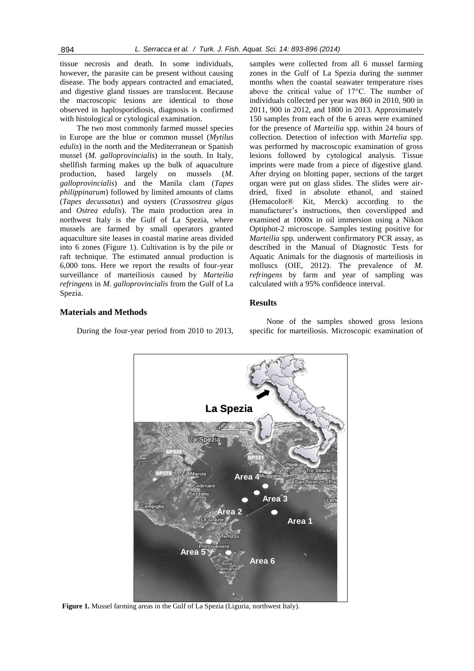tissue necrosis and death. In some individuals, however, the parasite can be present without causing disease. The body appears contracted and emaciated, and digestive gland tissues are translucent. Because the macroscopic lesions are identical to those observed in haplosporidiosis, diagnosis is confirmed with histological or cytological examination.

The two most commonly farmed mussel species in Europe are the blue or common mussel (*Mytilus edulis*) in the north and the Mediterranean or Spanish mussel (*M. galloprovincialis*) in the south. In Italy, shellfish farming makes up the bulk of aquaculture production, based largely on mussels (*M. galloprovincialis*) and the Manila clam (*Tapes philippinarum*) followed by limited amounts of clams (*Tapes decussatus*) and oysters (*Crassostrea gigas* and *Ostrea edulis*). The main production area in northwest Italy is the Gulf of La Spezia, where mussels are farmed by small operators granted aquaculture site leases in coastal marine areas divided into 6 zones (Figure 1). Cultivation is by the pile or raft technique. The estimated annual production is 6,000 tons. Here we report the results of four-year surveillance of marteiliosis caused by *Marteilia refringens* in *M. galloprovincialis* from the Gulf of La Spezia.

samples were collected from all 6 mussel farming zones in the Gulf of La Spezia during the summer months when the coastal seawater temperature rises above the critical value of 17°C. The number of individuals collected per year was 860 in 2010, 900 in 2011, 900 in 2012, and 1800 in 2013. Approximately 150 samples from each of the 6 areas were examined for the presence of *Marteilia* spp*.* within 24 hours of collection. Detection of infection with *Martelia* spp. was performed by macroscopic examination of gross lesions followed by cytological analysis. Tissue imprints were made from a piece of digestive gland. After drying on blotting paper, sections of the target organ were put on glass slides. The slides were airdried, fixed in absolute ethanol, and stained (Hemacolor® Kit, Merck) according to the manufacturer's instructions, then coverslipped and examined at 1000x in oil immersion using a Nikon Optiphot-2 microscope. Samples testing positive for *Marteilia* spp*.* underwent confirmatory PCR assay, as described in the Manual of Diagnostic Tests for Aquatic Animals for the diagnosis of marteiliosis in molluscs (OIE, 2012). The prevalence of *M. refringens* by farm and year of sampling was calculated with a 95% confidence interval.

## **Results**

### **Materials and Methods**

During the four-year period from 2010 to 2013,

None of the samples showed gross lesions specific for marteiliosis. Microscopic examination of



**Figure 1.** Mussel farming areas in the Gulf of La Spezia (Liguria, northwest Italy).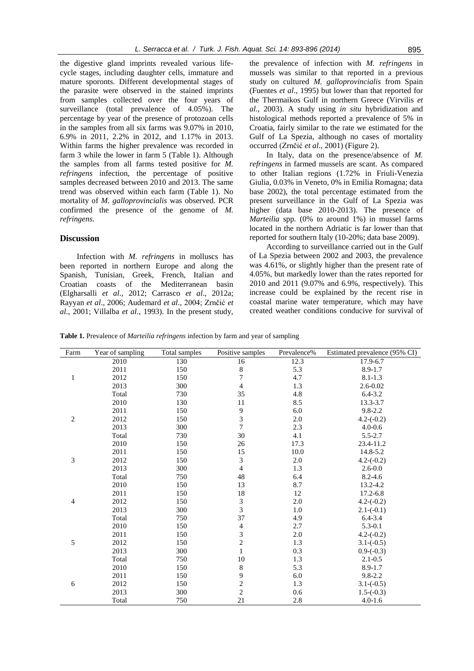the digestive gland imprints revealed various lifecycle stages, including daughter cells, immature and mature sporonts. Different developmental stages of the parasite were observed in the stained imprints from samples collected over the four years of surveillance (total prevalence of 4.05%). The percentage by year of the presence of protozoan cells in the samples from all six farms was 9.07% in 2010, 6.9% in 2011, 2.2% in 2012, and 1.17% in 2013. Within farms the higher prevalence was recorded in

farm 3 while the lower in farm 5 (Table 1). Although the samples from all farms tested positive for *M. refringens* infection, the percentage of positive samples decreased between 2010 and 2013. The same trend was observed within each farm (Table 1). No mortality of *M. galloprovincialis* was observed. PCR confirmed the presence of the genome of *M. refringens*.

### **Discussion**

Infection with *M. refringens* in molluscs has been reported in northern Europe and along the Spanish, Tunisian, Greek, French, Italian and Croatian coasts of the Mediterranean basin (Elgharsalli *et al*., 2012; Carrasco *et al*., 2012a; Rayyan *et al*., 2006; Audemard *et al*., 2004; Zrnčić *et al*., 2001; Villalba *et al*., 1993). In the present study,

the prevalence of infection with *M. refringens* in mussels was similar to that reported in a previous study on cultured *M. galloprovincialis* from Spain (Fuentes *et al*., 1995) but lower than that reported for the Thermaikos Gulf in northern Greece (Virvilis *et al*., 2003). A study using *in situ* hybridization and histological methods reported a prevalence of 5% in Croatia, fairly similar to the rate we estimated for the Gulf of La Spezia, although no cases of mortality occurred (Zrnčić *et al*., 2001) (Figure 2).

In Italy, data on the presence/absence of *M. refringens* in farmed mussels are scant. As compared to other Italian regions (1.72% in Friuli-Venezia Giulia, 0.03% in Veneto, 0% in Emilia Romagna; data base 2002), the total percentage estimated from the present surveillance in the Gulf of La Spezia was higher (data base 2010-2013). The presence of *Marteilia* spp*.* (0% to around 1%) in mussel farms located in the northern Adriatic is far lower than that reported for southern Italy (10-20%; data base 2009).

According to surveillance carried out in the Gulf of La Spezia between 2002 and 2003, the prevalence was 4.61%, or slightly higher than the present rate of 4.05%, but markedly lower than the rates reported for 2010 and 2011 (9.07% and 6.9%, respectively). This increase could be explained by the recent rise in coastal marine water temperature, which may have created weather conditions conducive for survival of

**Table 1.** Prevalence of *Marteilia refringens* infection by farm and year of sampling

| Farm           | Year of sampling | Total samples | Positive samples            | Prevalence% | Estimated prevalence (95% CI) |
|----------------|------------------|---------------|-----------------------------|-------------|-------------------------------|
| $\mathbf{1}$   | 2010             | 130           | 16                          | 12.3        | 17.9-6.7                      |
|                | 2011             | 150           | $\,8\,$                     | 5.3         | $8.9 - 1.7$                   |
|                | 2012             | 150           | $\boldsymbol{7}$            | 4.7         | $8.1 - 1.3$                   |
|                | 2013             | 300           | $\overline{4}$              | 1.3         | $2.6 - 0.02$                  |
|                | Total            | 730           | 35                          | 4.8         | $6.4 - 3.2$                   |
| $\sqrt{2}$     | 2010             | 130           | 11                          | 8.5         | 13.3-3.7                      |
|                | 2011             | 150           | 9                           | 6.0         | $9.8 - 2.2$                   |
|                | 2012             | 150           | $\mathfrak{Z}$              | 2.0         | $4.2-(-0.2)$                  |
|                | 2013             | 300           | $\tau$                      | $2.3\,$     | $4.0 - 0.6$                   |
|                | Total            | 730           | 30                          | 4.1         | $5.5 - 2.7$                   |
| 3              | 2010             | 150           | 26                          | 17.3        | 23.4-11.2                     |
|                | 2011             | 150           | 15                          | 10.0        | 14.8-5.2                      |
|                | 2012             | 150           | 3                           | 2.0         | $4.2 - (-0.2)$                |
|                | 2013             | 300           | $\overline{4}$              | 1.3         | $2.6 - 0.0$                   |
|                | Total            | 750           | 48                          | 6.4         | $8.2 - 4.6$                   |
| $\overline{4}$ | 2010             | 150           | 13                          | 8.7         | 13.2-4.2                      |
|                | 2011             | 150           | 18                          | 12          | 17.2-6.8                      |
|                | 2012             | 150           | $\ensuremath{\mathfrak{Z}}$ | $2.0\,$     | $4.2 - (-0.2)$                |
|                | 2013             | 300           | $\overline{3}$              | 1.0         | $2.1-(-0.1)$                  |
|                | Total            | 750           | 37                          | 4.9         | $6.4 - 3.4$                   |
| 5              | 2010             | 150           | $\overline{4}$              | 2.7         | $5.3 - 0.1$                   |
|                | 2011             | 150           | $\mathfrak{Z}$              | 2.0         | $4.2 - (-0.2)$                |
|                | 2012             | 150           | $\overline{c}$              | 1.3         | $3.1 - (-0.5)$                |
|                | 2013             | 300           | $\mathbf{1}$                | 0.3         | $0.9 - (-0.3)$                |
|                | Total            | 750           | $10\,$                      | 1.3         | $2.1 - 0.5$                   |
| 6              | 2010             | 150           | $\,8\,$                     | 5.3         | $8.9 - 1.7$                   |
|                | 2011             | 150           | 9                           | $6.0\,$     | $9.8 - 2.2$                   |
|                | 2012             | 150           | $\overline{c}$              | 1.3         | $3.1 - (-0.5)$                |
|                | 2013             | 300           | $\overline{c}$              | $0.6\,$     | $1.5-(-0.3)$                  |
|                | Total            | 750           | 21                          | 2.8         | $4.0 - 1.6$                   |